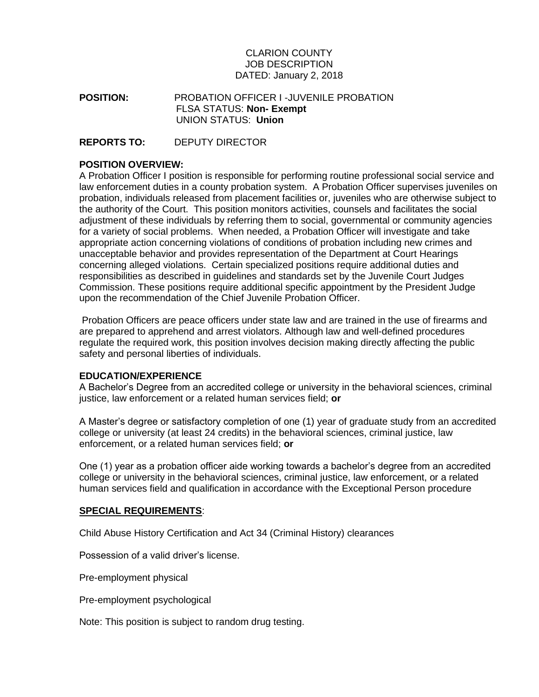## CLARION COUNTY JOB DESCRIPTION DATED: January 2, 2018

**POSITION:** PROBATION OFFICER I -JUVENILE PROBATION FLSA STATUS: **Non- Exempt** UNION STATUS: **Union**

**REPORTS TO:** DEPUTY DIRECTOR

### **POSITION OVERVIEW:**

A Probation Officer I position is responsible for performing routine professional social service and law enforcement duties in a county probation system. A Probation Officer supervises juveniles on probation, individuals released from placement facilities or, juveniles who are otherwise subject to the authority of the Court. This position monitors activities, counsels and facilitates the social adjustment of these individuals by referring them to social, governmental or community agencies for a variety of social problems. When needed, a Probation Officer will investigate and take appropriate action concerning violations of conditions of probation including new crimes and unacceptable behavior and provides representation of the Department at Court Hearings concerning alleged violations. Certain specialized positions require additional duties and responsibilities as described in guidelines and standards set by the Juvenile Court Judges Commission. These positions require additional specific appointment by the President Judge upon the recommendation of the Chief Juvenile Probation Officer.

Probation Officers are peace officers under state law and are trained in the use of firearms and are prepared to apprehend and arrest violators. Although law and well-defined procedures regulate the required work, this position involves decision making directly affecting the public safety and personal liberties of individuals.

#### **EDUCATION/EXPERIENCE**

A Bachelor's Degree from an accredited college or university in the behavioral sciences, criminal justice, law enforcement or a related human services field; **or**

A Master's degree or satisfactory completion of one (1) year of graduate study from an accredited college or university (at least 24 credits) in the behavioral sciences, criminal justice, law enforcement, or a related human services field; **or**

One (1) year as a probation officer aide working towards a bachelor's degree from an accredited college or university in the behavioral sciences, criminal justice, law enforcement, or a related human services field and qualification in accordance with the Exceptional Person procedure

#### **SPECIAL REQUIREMENTS**:

Child Abuse History Certification and Act 34 (Criminal History) clearances

Possession of a valid driver's license.

Pre-employment physical

Pre-employment psychological

Note: This position is subject to random drug testing.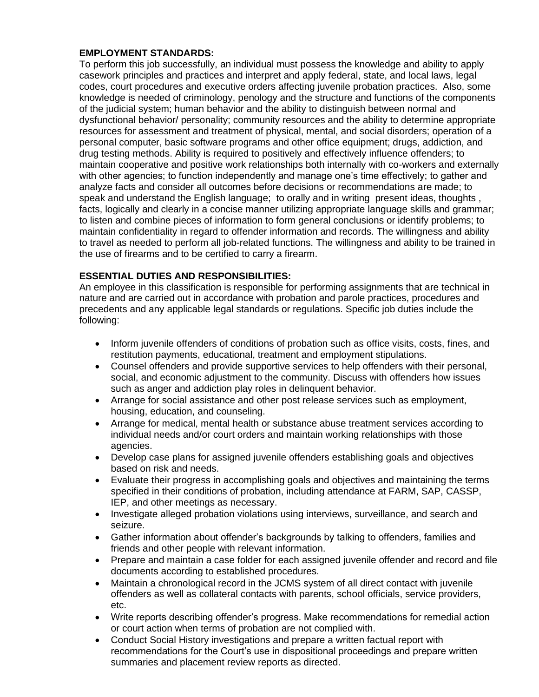# **EMPLOYMENT STANDARDS:**

To perform this job successfully, an individual must possess the knowledge and ability to apply casework principles and practices and interpret and apply federal, state, and local laws, legal codes, court procedures and executive orders affecting juvenile probation practices. Also, some knowledge is needed of criminology, penology and the structure and functions of the components of the judicial system; human behavior and the ability to distinguish between normal and dysfunctional behavior/ personality; community resources and the ability to determine appropriate resources for assessment and treatment of physical, mental, and social disorders; operation of a personal computer, basic software programs and other office equipment; drugs, addiction, and drug testing methods. Ability is required to positively and effectively influence offenders; to maintain cooperative and positive work relationships both internally with co-workers and externally with other agencies; to function independently and manage one's time effectively; to gather and analyze facts and consider all outcomes before decisions or recommendations are made; to speak and understand the English language; to orally and in writing present ideas, thoughts , facts, logically and clearly in a concise manner utilizing appropriate language skills and grammar; to listen and combine pieces of information to form general conclusions or identify problems; to maintain confidentiality in regard to offender information and records. The willingness and ability to travel as needed to perform all job-related functions. The willingness and ability to be trained in the use of firearms and to be certified to carry a firearm.

# **ESSENTIAL DUTIES AND RESPONSIBILITIES:**

An employee in this classification is responsible for performing assignments that are technical in nature and are carried out in accordance with probation and parole practices, procedures and precedents and any applicable legal standards or regulations. Specific job duties include the following:

- Inform juvenile offenders of conditions of probation such as office visits, costs, fines, and restitution payments, educational, treatment and employment stipulations.
- Counsel offenders and provide supportive services to help offenders with their personal, social, and economic adjustment to the community. Discuss with offenders how issues such as anger and addiction play roles in delinquent behavior.
- Arrange for social assistance and other post release services such as employment, housing, education, and counseling.
- Arrange for medical, mental health or substance abuse treatment services according to individual needs and/or court orders and maintain working relationships with those agencies.
- Develop case plans for assigned juvenile offenders establishing goals and objectives based on risk and needs.
- Evaluate their progress in accomplishing goals and objectives and maintaining the terms specified in their conditions of probation, including attendance at FARM, SAP, CASSP, IEP, and other meetings as necessary.
- Investigate alleged probation violations using interviews, surveillance, and search and seizure.
- Gather information about offender's backgrounds by talking to offenders, families and friends and other people with relevant information.
- Prepare and maintain a case folder for each assigned juvenile offender and record and file documents according to established procedures.
- Maintain a chronological record in the JCMS system of all direct contact with juvenile offenders as well as collateral contacts with parents, school officials, service providers, etc.
- Write reports describing offender's progress. Make recommendations for remedial action or court action when terms of probation are not complied with.
- Conduct Social History investigations and prepare a written factual report with recommendations for the Court's use in dispositional proceedings and prepare written summaries and placement review reports as directed.